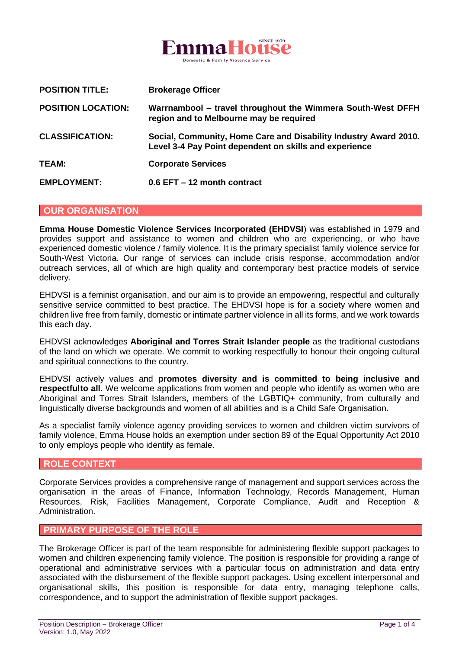

| <b>POSITION TITLE:</b>    | <b>Brokerage Officer</b>                                                                                                   |
|---------------------------|----------------------------------------------------------------------------------------------------------------------------|
| <b>POSITION LOCATION:</b> | Warrnambool – travel throughout the Wimmera South-West DFFH<br>region and to Melbourne may be required                     |
| <b>CLASSIFICATION:</b>    | Social, Community, Home Care and Disability Industry Award 2010.<br>Level 3-4 Pay Point dependent on skills and experience |
| TEAM:                     | <b>Corporate Services</b>                                                                                                  |
| <b>EMPLOYMENT:</b>        | $0.6$ EFT $-12$ month contract                                                                                             |

#### **OUR ORGANISATION**

**Emma House Domestic Violence Services Incorporated (EHDVSI**) was established in 1979 and provides support and assistance to women and children who are experiencing, or who have experienced domestic violence / family violence. It is the primary specialist family violence service for South-West Victoria. Our range of services can include crisis response, accommodation and/or outreach services, all of which are high quality and contemporary best practice models of service delivery.

EHDVSI is a feminist organisation, and our aim is to provide an empowering, respectful and culturally sensitive service committed to best practice. The EHDVSI hope is for a society where women and children live free from family, domestic or intimate partner violence in all its forms, and we work towards this each day.

EHDVSI acknowledges **Aboriginal and Torres Strait Islander people** as the traditional custodians of the land on which we operate. We commit to working respectfully to honour their ongoing cultural and spiritual connections to the country.

EHDVSI actively values and **promotes diversity and is committed to being inclusive and respectfulto all.** We welcome applications from women and people who identify as women who are Aboriginal and Torres Strait Islanders, members of the LGBTIQ+ community, from culturally and linguistically diverse backgrounds and women of all abilities and is a Child Safe Organisation.

As a specialist family violence agency providing services to women and children victim survivors of family violence, Emma House holds an exemption under section 89 of the Equal Opportunity Act 2010 to only employs people who identify as female.

#### **ROLE CONTEXT**

Corporate Services provides a comprehensive range of management and support services across the organisation in the areas of Finance, Information Technology, Records Management, Human Resources, Risk, Facilities Management, Corporate Compliance, Audit and Reception & Administration.

### **PRIMARY PURPOSE OF THE ROLE**

The Brokerage Officer is part of the team responsible for administering flexible support packages to women and children experiencing family violence. The position is responsible for providing a range of operational and administrative services with a particular focus on administration and data entry associated with the disbursement of the flexible support packages. Using excellent interpersonal and organisational skills, this position is responsible for data entry, managing telephone calls, correspondence, and to support the administration of flexible support packages.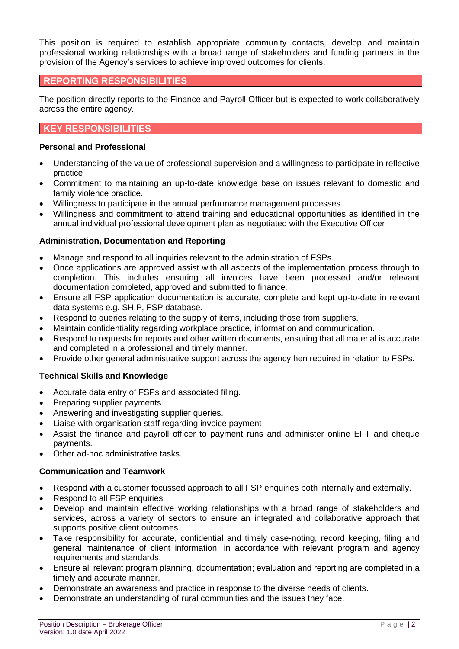This position is required to establish appropriate community contacts, develop and maintain professional working relationships with a broad range of stakeholders and funding partners in the provision of the Agency's services to achieve improved outcomes for clients.

## **REPORTING RESPONSIBILITIES**

The position directly reports to the Finance and Payroll Officer but is expected to work collaboratively across the entire agency.

# **KEY RESPONSIBILITIES**

### **Personal and Professional**

- Understanding of the value of professional supervision and a willingness to participate in reflective practice
- Commitment to maintaining an up-to-date knowledge base on issues relevant to domestic and family violence practice.
- Willingness to participate in the annual performance management processes
- Willingness and commitment to attend training and educational opportunities as identified in the annual individual professional development plan as negotiated with the Executive Officer

### **Administration, Documentation and Reporting**

- Manage and respond to all inquiries relevant to the administration of FSPs.
- Once applications are approved assist with all aspects of the implementation process through to completion. This includes ensuring all invoices have been processed and/or relevant documentation completed, approved and submitted to finance.
- Ensure all FSP application documentation is accurate, complete and kept up-to-date in relevant data systems e.g. SHIP, FSP database.
- Respond to queries relating to the supply of items, including those from suppliers.
- Maintain confidentiality regarding workplace practice, information and communication.
- Respond to requests for reports and other written documents, ensuring that all material is accurate and completed in a professional and timely manner.
- Provide other general administrative support across the agency hen required in relation to FSPs.

### **Technical Skills and Knowledge**

- Accurate data entry of FSPs and associated filing.
- Preparing supplier payments.
- Answering and investigating supplier queries.
- Liaise with organisation staff regarding invoice payment
- Assist the finance and payroll officer to payment runs and administer online EFT and cheque payments.
- Other ad-hoc administrative tasks.

### **Communication and Teamwork**

- Respond with a customer focussed approach to all FSP enquiries both internally and externally.
- Respond to all FSP enquiries
- Develop and maintain effective working relationships with a broad range of stakeholders and services, across a variety of sectors to ensure an integrated and collaborative approach that supports positive client outcomes.
- Take responsibility for accurate, confidential and timely case-noting, record keeping, filing and general maintenance of client information, in accordance with relevant program and agency requirements and standards.
- Ensure all relevant program planning, documentation; evaluation and reporting are completed in a timely and accurate manner.
- Demonstrate an awareness and practice in response to the diverse needs of clients.
- Demonstrate an understanding of rural communities and the issues they face.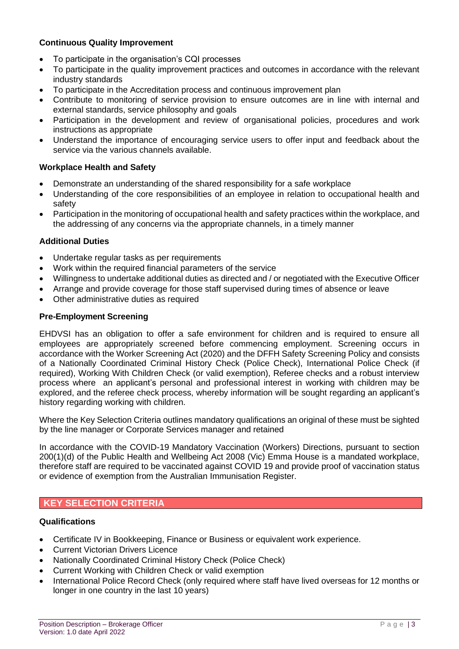### **Continuous Quality Improvement**

- To participate in the organisation's CQI processes
- To participate in the quality improvement practices and outcomes in accordance with the relevant industry standards
- To participate in the Accreditation process and continuous improvement plan
- Contribute to monitoring of service provision to ensure outcomes are in line with internal and external standards, service philosophy and goals
- Participation in the development and review of organisational policies, procedures and work instructions as appropriate
- Understand the importance of encouraging service users to offer input and feedback about the service via the various channels available.

### **Workplace Health and Safety**

- Demonstrate an understanding of the shared responsibility for a safe workplace
- Understanding of the core responsibilities of an employee in relation to occupational health and safety
- Participation in the monitoring of occupational health and safety practices within the workplace, and the addressing of any concerns via the appropriate channels, in a timely manner

### **Additional Duties**

- Undertake regular tasks as per requirements
- Work within the required financial parameters of the service
- Willingness to undertake additional duties as directed and / or negotiated with the Executive Officer
- Arrange and provide coverage for those staff supervised during times of absence or leave
- Other administrative duties as required

### **Pre-Employment Screening**

EHDVSI has an obligation to offer a safe environment for children and is required to ensure all employees are appropriately screened before commencing employment. Screening occurs in accordance with the Worker Screening Act (2020) and the DFFH Safety Screening Policy and consists of a Nationally Coordinated Criminal History Check (Police Check), International Police Check (if required), Working With Children Check (or valid exemption), Referee checks and a robust interview process where an applicant's personal and professional interest in working with children may be explored, and the referee check process, whereby information will be sought regarding an applicant's history regarding working with children.

Where the Key Selection Criteria outlines mandatory qualifications an original of these must be sighted by the line manager or Corporate Services manager and retained

In accordance with the COVID-19 Mandatory Vaccination (Workers) Directions, pursuant to section 200(1)(d) of the Public Health and Wellbeing Act 2008 (Vic) Emma House is a mandated workplace, therefore staff are required to be vaccinated against COVID 19 and provide proof of vaccination status or evidence of exemption from the Australian Immunisation Register.

## **KEY SELECTION CRITERIA**

### **Qualifications**

- Certificate IV in Bookkeeping, Finance or Business or equivalent work experience.
- Current Victorian Drivers Licence
- Nationally Coordinated Criminal History Check (Police Check)
- Current Working with Children Check or valid exemption
- International Police Record Check (only required where staff have lived overseas for 12 months or longer in one country in the last 10 years)